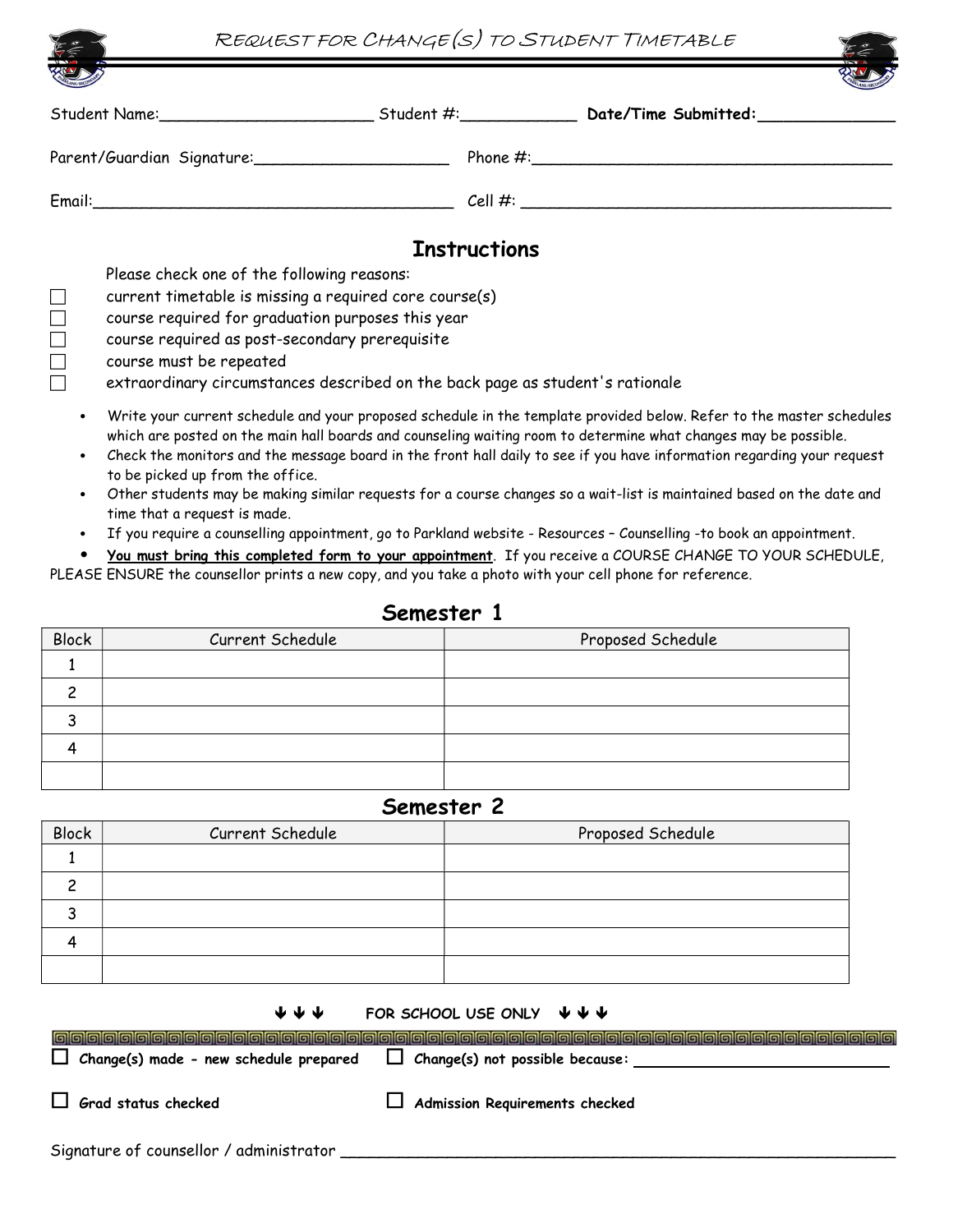|                            | REQUEST FOR CHANGE(S) TO STUDENT TIMETABLE                                                           |                     |  |  |  |  |  |  |
|----------------------------|------------------------------------------------------------------------------------------------------|---------------------|--|--|--|--|--|--|
|                            |                                                                                                      |                     |  |  |  |  |  |  |
|                            |                                                                                                      |                     |  |  |  |  |  |  |
| Parent/Guardian Signature: |                                                                                                      |                     |  |  |  |  |  |  |
|                            |                                                                                                      |                     |  |  |  |  |  |  |
|                            |                                                                                                      | <b>Instructions</b> |  |  |  |  |  |  |
|                            | Please check one of the following reasons:<br>current timetable is missing a required core course(s) |                     |  |  |  |  |  |  |
|                            |                                                                                                      |                     |  |  |  |  |  |  |
|                            | course required for graduation purposes this year                                                    |                     |  |  |  |  |  |  |
|                            | course required as post-secondary prerequisite                                                       |                     |  |  |  |  |  |  |

course must be repeated

 $\Box$  extraordinary circumstances described on the back page as student's rationale

- Write your current schedule and your proposed schedule in the template provided below. Refer to the master schedules which are posted on the main hall boards and counseling waiting room to determine what changes may be possible.
- Check the monitors and the message board in the front hall daily to see if you have information regarding your request to be picked up from the office.
- Other students may be making similar requests for a course changes so a wait-list is maintained based on the date and time that a request is made.
- If you require a counselling appointment, go to Parkland website Resources Counselling -to book an appointment.
- You must bring this completed form to your appointment. If you receive a COURSE CHANGE TO YOUR SCHEDULE, PLEASE ENSURE the counsellor prints a new copy, and you take a photo with your cell phone for reference.

| <b>Block</b> | Current Schedule | Proposed Schedule |
|--------------|------------------|-------------------|
|              |                  |                   |
|              |                  |                   |
|              |                  |                   |
|              |                  |                   |
|              |                  |                   |

## Semester 1

## Semester 2

| <b>Block</b> | Current Schedule | Proposed Schedule |
|--------------|------------------|-------------------|
|              |                  |                   |
|              |                  |                   |
|              |                  |                   |
|              |                  |                   |
|              |                  |                   |

 $\Box$  Change(s) made - new schedule prepared  $\Box$  Change(s) not possible because:

 $\begin{array}{ccccc} \psi & \psi & \psi & \psi \end{array}$  FOR SCHOOL USE ONLY  $\begin{array}{ccccc} \psi & \psi & \psi & \psi \end{array}$ 

 $\Box$  Grad status checked  $\Box$  Admission Requirements checked

Signature of counsellor / administrator \_